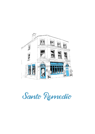

Santo Remedio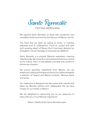

We opened Santo Remedio to share with Londoners how incredibly varied and exciting the flavours of Mexico can be.

The food that we grew up eating at home, in markets, taquerias and at celebrations. Food so unique and with such amazing depth of flavour that it has been declared an Intangible Cultural Heritage of Humanity by UNESCO.

Santo Remedio is a popular Mexican expression meaning Holy Remedy. We chose this name because food is so central to our culture, that it is considered a remedy and comfort in almost any situation.

We source speciality ingredients from Mexico, we use traditional cooking techniques and serve our dishes alongside a selection of Tequila and Mezcal cocktails, Mexican beers and wines.

Our restaurant is designed and decorated with artwork and décor by Mexican artisans and craftspeople that we have chosen on our travels to Mexico.

We are delighted to welcoming you to our restaurant to share with you a true Mexican experience.

Edson, Natalie & the Santo Remedio team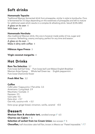# Soft drinks

### Homemade Tepache

Traditional Mexican fermented drink from pineapples, similar in style to kombucha. Ours is fermented for 3-5 days depending on the sweetness of pineapples and left to mature for additional week which results in a complex & refreshing drink. Salud! (0.5% ABV)

A glass on its own 4 With beer 6.5

#### Homemade Horchata

Also traditional Mexican drink, this one is however made solely of rice, sugar and cinnamon. Refreshing, creamy and spicy, perfect for any time and season. A glass on its own 3 Make it dirty with coffee 4

### Hibiscus Agua Fresca 3

Virgin coconut margarita 4

# Hot Drinks

#### Rare Tea Selection 3.7

Pure loose-leaf Earl Grey · Pure loose-leaf Lost Malawi English Breakfast · Mexican Anise Hyssop · Whole leaf Green tea · English peppermint · Pure loose Chamomile flower

#### Fresh Mint Tea 3.2

### Coffee

Café Latte / Cappuccino / Flat white 3.3 Americano / Long black 2.9 Macchiato / Cortado 3 Espresso 2.5 Iced Latte 4.5 Extra shot  $+0.7$ Oat milk, coconut milk + 0.2 Extra syrup: ginger bread, cinnamon, vanilla, caramel +0.5

# Dessert

**Mexican Rum & chocolate tart, candied orange**  $\sqrt{6.5}$ 

**Churros con Cajeta**  $\sqrt{6}$ 

Selection of sorbet from Ice Cream Union, two scoops  $\sqrt{5}$ 

**Chocoflan,** half chocolate cake half flan, known in Mexico as "Pastel Impossible."  $\sqrt{7}$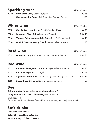| <b>Sparkling wine</b> |                                                           | 125ml / 750ml |
|-----------------------|-----------------------------------------------------------|---------------|
| 2020                  | <b>Gran Gesta Cava, Catalonia, Spain</b>                  | 7 / 36        |
|                       | <b>Champagne Pol Roger, Rich Demi Sec, Epernay France</b> | 135           |

### White wine 125ml / 750ml 2018 Chenin Blanc, L.A. Cetto, Baja California, México 6/30 2020 Sauvignon Blanc, Esk Valley, New Zealand 1997 1997 1998 1997 1998 2018 Viogner, Private reserve L.A. Cetto, Baja California, México 8/46 2016 Obeidi, Domaine Wardy Obeidi, Bekaa Valley, Lebanon 78

### Rosé wine 125ml / 750ml

| 2019 | <b>Grenache, Lady A, Chateau Lacoste, Provence, France</b> | 6.5 / 36 |
|------|------------------------------------------------------------|----------|
|------|------------------------------------------------------------|----------|

# Red wine 125ml / 750ml

| 2017 | Cabernet Sauvignon, L.A. Cetto, Baja California, México             | 6/30     |
|------|---------------------------------------------------------------------|----------|
| 2019 | Pe Tinto, Esporao, Portugal                                         | 6.5 / 31 |
| 2019 | <b>Signature Pinot Noir, Robert Oatley, Yarra Valley, Australia</b> | 7.5 / 35 |
| 2020 | Zuccardi Los Olivos Malbec, Mendoza, Argentina                      | 55       |

### Beer

Ask you waiter for our selection of Mexican beers 6

Lucky Saint non-alcoholic unfiltered lager 0.5% ABV 5

Michelada +1 Turn your beer into a Mexican feast with a blend of sangrita, lime juice and tajin

# Soft drinks

Coca-cola, Diet coke 4 Belu still or sparkling water 3.5 Jarritos Mango, Cola or Guava 6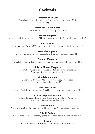### Cocktails

### Margarita de la Casa

Tequila el Jimador Blanco, lime & lemon juice, sugar, tajín 10.5 Make it spicy +1

### Margarita Del Momento

Please ask your waiter for today's flavour 12

#### Mezcal Negroni

Amores Verde Momento mezcal, El Bandara vermouth rojo, Campari, orange peel 12

#### Bee's Knees

Katun gin from Yucatán México, honey, spice, tepache, spice, fresh orange 11.5

#### Mezcal Margarita

Amores Verde Momento mezcal, lime & lemon juice, sugar, tajín 11.5

### Coconut Margarita

Tequila El Jimador Blanco, cream of coconut, agave syrup, lemon, lime 11.5

#### Hibiscus Flower Margarita

Tequila El Jimador Blanco, house-made hibiscus flower cordial, Cointreau triple sec, lemon, lime 11.5

#### Guadalajara Mule

Charanda Extra Anejo Mexican Rum Mexico, ginger beer, angostura bitter, fresh lime 15

#### Mezcalita Verde

Amores Verde Momento mezcal, Guajillo chili, cucumber, citrus, parsley 12.5

#### El Rayo Espresso Martini

El Rayo Reposado tequila rested in ex-whisky casks for 7 months, Cazcabel coffee tequila, coffee 12.5

#### Mezcal Sour

Corte Vertusto Espadin multi awarded Mezcal, lime & lemon juice, agave syrup 15

#### Piña Al Carbon

Amores Verde Momento mezcal, grilled pineapple, apple, cinnamon, citrus 12.5

#### Sangria

Pe Tinto red wine, El Bandara vermouth rojo, fruits, citrus 7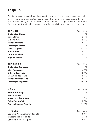# **Tequila**

Tequila can only be made from blue agave in the state of Jalisco, and a few other small areas. Tequila has 3 aging categories, blanco, which is a clear un-aged tequila that is bottled immediately or after a short rest. Reposado, which is aged in wooden barrels for 2 - 11 months, & Anejo, which is aged in wooden barrels for a minimum on 12 months

| <b>BLANCO</b>                  | 25ml / 50ml |
|--------------------------------|-------------|
| <b>El Jimador Blanco</b>       | 4/8         |
| <b>Vivir Blanco</b>            | 5/10        |
| <b>El Rayo Plata</b>           | 6/12        |
| <b>Herradura Plata</b>         | 6/12        |
| <b>Casamigos Blanco</b>        | 7/14        |
| <b>Casa Dragones</b>           | 10/20       |
| <b>Patron Silver</b>           | 6/12        |
| Don Julio Silver               | 6/12        |
| <b>Mijenta Banco</b>           | 7/14        |
| <b>REPOSADO</b>                | 25ml / 50ml |
| <b>El Jimador Reposado</b>     | 4/8         |
| <b>Vivir Reposado</b>          | 6/12        |
| El Rayo Reposado               | 6.5/13      |
| Don Julio Reposado             | 6/12        |
| Herradura Reposado             | 6.5/13      |
| <b>Casamigos Reposado</b>      | 7.5/15      |
| <b>AÑEJO</b>                   | 25ml / 50ml |
| Herradura Añejo                | 7/14        |
| Patrón Añejo                   | 7.5/15      |
| <b>Maestro Dobel Añejo</b>     | 9/18        |
| Ocho Extra Añejo               | 12/24       |
| <b>Cuervo Reserva Familia</b>  | 16/32       |
| <b>INFUSED</b>                 | 25ml / 50ml |
| Cazcabel Yućatan honey Tequila | 5.5/11      |
| <b>Maestro Dobel Humito</b>    | 9/18        |
| <b>Cazcabel Coffee Tequila</b> | 5.5/11      |